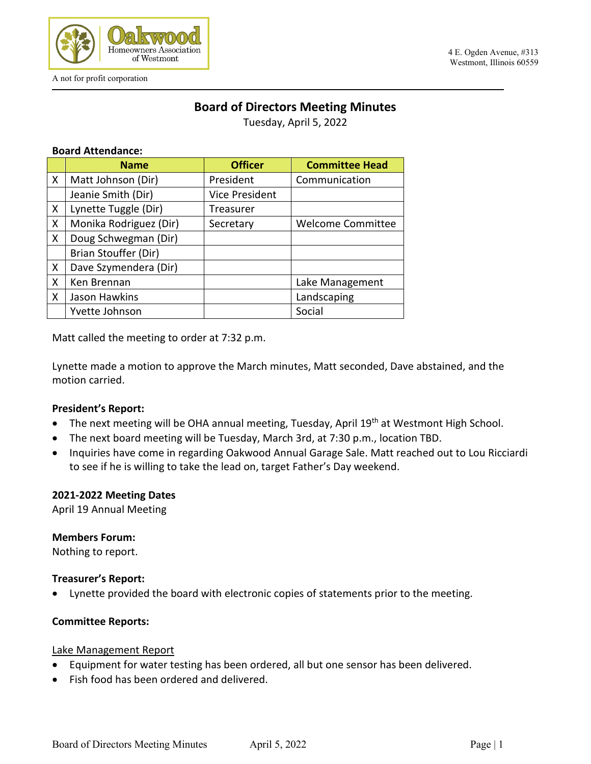

A not for profit corporation

#### 4 E. Ogden Avenue, #313 Westmont, Illinois 60559

# **Board of Directors Meeting Minutes**

Tuesday, April 5, 2022

### **Board Attendance:**

|              | <b>Name</b>            | <b>Officer</b>        | <b>Committee Head</b>    |
|--------------|------------------------|-----------------------|--------------------------|
| X            | Matt Johnson (Dir)     | President             | Communication            |
|              | Jeanie Smith (Dir)     | <b>Vice President</b> |                          |
| X            | Lynette Tuggle (Dir)   | Treasurer             |                          |
| X            | Monika Rodriguez (Dir) | Secretary             | <b>Welcome Committee</b> |
| X            | Doug Schwegman (Dir)   |                       |                          |
|              | Brian Stouffer (Dir)   |                       |                          |
| X            | Dave Szymendera (Dir)  |                       |                          |
| X            | Ken Brennan            |                       | Lake Management          |
| $\mathsf{X}$ | Jason Hawkins          |                       | Landscaping              |
|              | Yvette Johnson         |                       | Social                   |

Matt called the meeting to order at 7:32 p.m.

Lynette made a motion to approve the March minutes, Matt seconded, Dave abstained, and the motion carried.

### **President's Report:**

- The next meeting will be OHA annual meeting, Tuesday, April 19<sup>th</sup> at Westmont High School.
- The next board meeting will be Tuesday, March 3rd, at 7:30 p.m., location TBD.
- Inquiries have come in regarding Oakwood Annual Garage Sale. Matt reached out to Lou Ricciardi to see if he is willing to take the lead on, target Father's Day weekend.

### **2021-2022 Meeting Dates**

April 19 Annual Meeting

### **Members Forum:**

Nothing to report.

### **Treasurer's Report:**

• Lynette provided the board with electronic copies of statements prior to the meeting.

### **Committee Reports:**

### Lake Management Report

- Equipment for water testing has been ordered, all but one sensor has been delivered.
- Fish food has been ordered and delivered.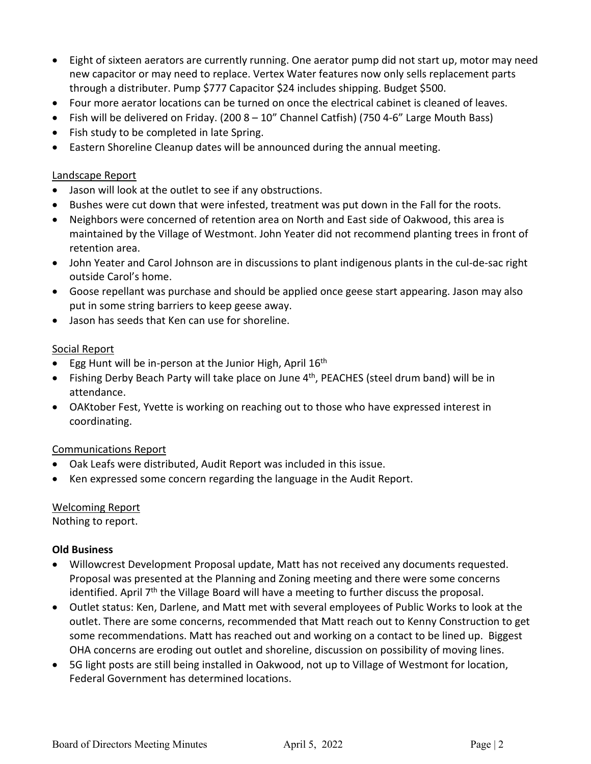- Eight of sixteen aerators are currently running. One aerator pump did not start up, motor may need new capacitor or may need to replace. Vertex Water features now only sells replacement parts through a distributer. Pump \$777 Capacitor \$24 includes shipping. Budget \$500.
- Four more aerator locations can be turned on once the electrical cabinet is cleaned of leaves.
- Fish will be delivered on Friday. (200 8 10" Channel Catfish) (750 4-6" Large Mouth Bass)
- Fish study to be completed in late Spring.
- Eastern Shoreline Cleanup dates will be announced during the annual meeting.

### Landscape Report

- Jason will look at the outlet to see if any obstructions.
- Bushes were cut down that were infested, treatment was put down in the Fall for the roots.
- Neighbors were concerned of retention area on North and East side of Oakwood, this area is maintained by the Village of Westmont. John Yeater did not recommend planting trees in front of retention area.
- John Yeater and Carol Johnson are in discussions to plant indigenous plants in the cul-de-sac right outside Carol's home.
- Goose repellant was purchase and should be applied once geese start appearing. Jason may also put in some string barriers to keep geese away.
- Jason has seeds that Ken can use for shoreline.

### Social Report

- Egg Hunt will be in-person at the Junior High, April 16<sup>th</sup>
- Fishing Derby Beach Party will take place on June 4<sup>th</sup>, PEACHES (steel drum band) will be in attendance.
- OAKtober Fest, Yvette is working on reaching out to those who have expressed interest in coordinating.

### Communications Report

- Oak Leafs were distributed, Audit Report was included in this issue.
- Ken expressed some concern regarding the language in the Audit Report.

## Welcoming Report

Nothing to report.

### **Old Business**

- Willowcrest Development Proposal update, Matt has not received any documents requested. Proposal was presented at the Planning and Zoning meeting and there were some concerns identified. April  $7<sup>th</sup>$  the Village Board will have a meeting to further discuss the proposal.
- Outlet status: Ken, Darlene, and Matt met with several employees of Public Works to look at the outlet. There are some concerns, recommended that Matt reach out to Kenny Construction to get some recommendations. Matt has reached out and working on a contact to be lined up. Biggest OHA concerns are eroding out outlet and shoreline, discussion on possibility of moving lines.
- 5G light posts are still being installed in Oakwood, not up to Village of Westmont for location, Federal Government has determined locations.